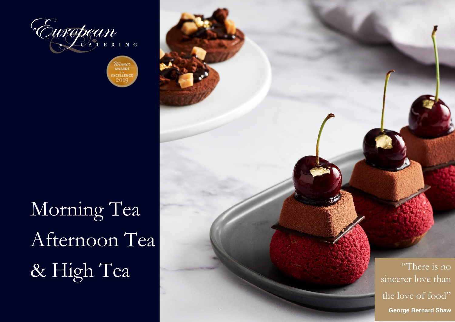

*UU CALAE*<br>AWARDS EXCELLENC  $201$ 

Morning Tea Afternoon Tea

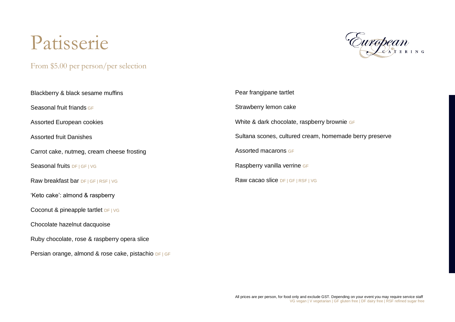# Patisserie

From \$5.00 per person/per selection

Persian orange, almond & rose cake, pistachio DF | GF



| Blackberry & black sesame muffins            | Pear frangipane tartlet                                 |
|----------------------------------------------|---------------------------------------------------------|
| Seasonal fruit friands GF                    | Strawberry lemon cake                                   |
| Assorted European cookies                    | White & dark chocolate, raspberry brownie GF            |
| <b>Assorted fruit Danishes</b>               | Sultana scones, cultured cream, homemade berry preserve |
| Carrot cake, nutmeg, cream cheese frosting   | Assorted macarons GF                                    |
| Seasonal fruits DF   GF   VG                 | Raspberry vanilla verrine GF                            |
| Raw breakfast bar DF   GF   RSF   VG         | Raw cacao slice DF   GF   RSF   VG                      |
| 'Keto cake': almond & raspberry              |                                                         |
| Coconut & pineapple tartlet DF   VG          |                                                         |
| Chocolate hazelnut dacquoise                 |                                                         |
| Ruby chocolate, rose & raspberry opera slice |                                                         |

All prices are per person, for food only and exclude GST. Depending on your event you may require service staff VG vegan | V vegetarian | GF gluten free | DF dairy free | RSF refined sugar free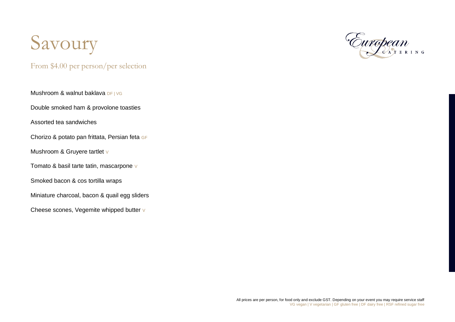

From \$4.00 per person/per selection

Mushroom & walnut baklava DF | VG

Double smoked ham & provolone toasties

Assorted tea sandwiches

Chorizo & potato pan frittata, Persian feta GF

Mushroom & Gruyere tartlet v

Tomato & basil tarte tatin, mascarpone v

Smoked bacon & cos tortilla wraps

Miniature charcoal, bacon & quail egg sliders

Cheese scones, Vegemite whipped butter v

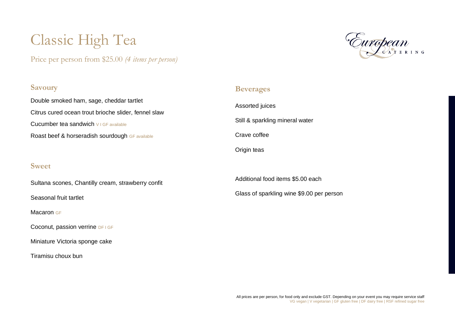## Classic High Tea

Price per person from \$25.00 *(4 items per person)*

### **Savoury**

Double smoked ham, sage, cheddar tartlet Citrus cured ocean trout brioche slider, fennel slaw Cucumber tea sandwich V I GF available Roast beef & horseradish sourdough GF available

#### **Sweet**

Sultana scones, Chantilly cream, strawberry confit

Seasonal fruit tartlet

Macaron GF

Coconut, passion verrine DF I GF

Miniature Victoria sponge cake

Tiramisu choux bun

### **Beverages**

Assorted juices Still & sparkling mineral water Crave coffee Origin teas

Additional food items \$5.00 each Glass of sparkling wine \$9.00 per person